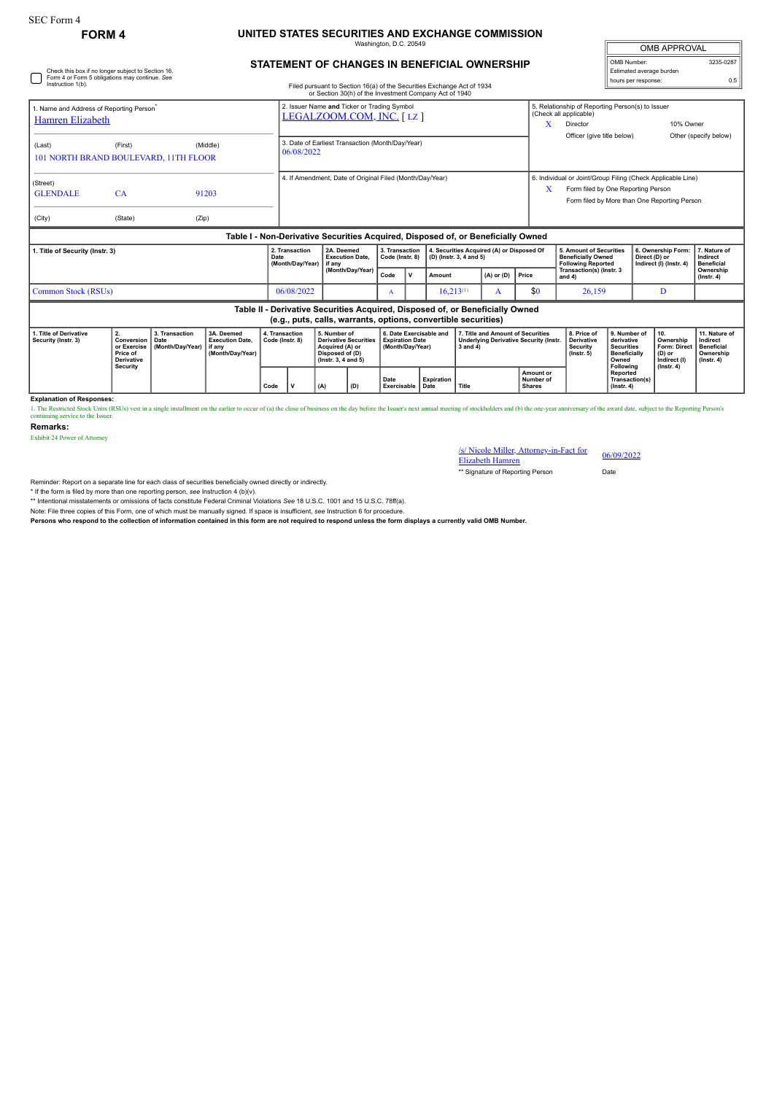## **FORM 4 UNITED STATES SECURITIES AND EXCHANGE COMMISSION**

Washington, D.C. 20549

| <b>OMB APPROVAL</b>      |           |  |  |  |  |  |  |  |
|--------------------------|-----------|--|--|--|--|--|--|--|
| OMB Number:              | 3235-0287 |  |  |  |  |  |  |  |
| Estimated average burden |           |  |  |  |  |  |  |  |
| hours per response:      | 0.5       |  |  |  |  |  |  |  |

## **STATEMENT OF CHANGES IN BENEFICIAL OWNERSHIP**

| □                                                                        | Check this box if no longer subject to Section 16.<br>Form 4 or Form 5 obligations may continue. See |          |                                                                                  |                                                                                                                                  |                                   |        |                                                                      |                                                                                        | Estimated average burden<br>hours per response: |                                                                                   |                                                                                                                                                        |                                               |  |
|--------------------------------------------------------------------------|------------------------------------------------------------------------------------------------------|----------|----------------------------------------------------------------------------------|----------------------------------------------------------------------------------------------------------------------------------|-----------------------------------|--------|----------------------------------------------------------------------|----------------------------------------------------------------------------------------|-------------------------------------------------|-----------------------------------------------------------------------------------|--------------------------------------------------------------------------------------------------------------------------------------------------------|-----------------------------------------------|--|
| Instruction 1(b).                                                        |                                                                                                      |          |                                                                                  | Filed pursuant to Section 16(a) of the Securities Exchange Act of 1934<br>or Section 30(h) of the Investment Company Act of 1940 |                                   |        |                                                                      |                                                                                        |                                                 |                                                                                   | 0.5                                                                                                                                                    |                                               |  |
| 1. Name and Address of Reporting Person <sup>*</sup><br>Hamren Elizabeth |                                                                                                      |          | 2. Issuer Name and Ticker or Trading Symbol<br>LEGALZOOM.COM, INC. [LZ]          |                                                                                                                                  |                                   |        |                                                                      | 5. Relationship of Reporting Person(s) to Issuer<br>(Check all applicable)<br>Director |                                                 | 10% Owner                                                                         |                                                                                                                                                        |                                               |  |
| (Last)                                                                   | (First)<br>101 NORTH BRAND BOULEVARD, 11TH FLOOR                                                     | (Middle) | 06/08/2022                                                                       | 3. Date of Earliest Transaction (Month/Day/Year)                                                                                 |                                   |        |                                                                      |                                                                                        |                                                 |                                                                                   | Officer (give title below)                                                                                                                             | Other (specify below)                         |  |
| (Street)<br><b>GLENDALE</b>                                              | CA                                                                                                   | 91203    |                                                                                  | 4. If Amendment. Date of Original Filed (Month/Dav/Year)                                                                         |                                   |        |                                                                      |                                                                                        |                                                 |                                                                                   | 6. Individual or Joint/Group Filing (Check Applicable Line)<br>Form filed by One Reporting Person<br>x<br>Form filed by More than One Reporting Person |                                               |  |
| (City)                                                                   | (State)                                                                                              | (Zip)    |                                                                                  |                                                                                                                                  |                                   |        |                                                                      |                                                                                        |                                                 |                                                                                   |                                                                                                                                                        |                                               |  |
|                                                                          |                                                                                                      |          | Table I - Non-Derivative Securities Acquired, Disposed of, or Beneficially Owned |                                                                                                                                  |                                   |        |                                                                      |                                                                                        |                                                 |                                                                                   |                                                                                                                                                        |                                               |  |
| 1. Title of Security (Instr. 3)                                          |                                                                                                      |          | 2. Transaction<br>Date<br>(Month/Day/Year)                                       | 2A. Deemed<br><b>Execution Date.</b><br>if any                                                                                   | 3. Transaction<br>Code (Instr. 8) |        | 4. Securities Acquired (A) or Disposed Of<br>(D) (lnstr. 3, 4 and 5) |                                                                                        |                                                 | 5. Amount of Securities<br><b>Beneficially Owned</b><br><b>Following Reported</b> | 6. Ownership Form:<br>Direct (D) or<br>Indirect (I) (Instr. 4)                                                                                         | 7. Nature of<br>Indirect<br><b>Beneficial</b> |  |
|                                                                          |                                                                                                      |          | (Month/Day/Year)                                                                 | Code                                                                                                                             | v                                 | Amount | $(A)$ or $(D)$                                                       | Price                                                                                  | Transaction(s) (Instr. 3<br>and $4$ )           |                                                                                   | Ownership<br>$($ lnstr. 4 $)$                                                                                                                          |                                               |  |
| Common Stock (RSUs)                                                      | 06/08/2022                                                                                           |          | A                                                                                |                                                                                                                                  | $16,213^{(1)}$                    | A      | \$0                                                                  | 26,159                                                                                 | D                                               |                                                                                   |                                                                                                                                                        |                                               |  |
|                                                                          |                                                                                                      |          | Table II - Derivative Securities Acquired, Disposed of, or Beneficially Owned    | (e.g., puts, calls, warrants, options, convertible securities)                                                                   |                                   |        |                                                                      |                                                                                        |                                                 |                                                                                   |                                                                                                                                                        |                                               |  |

| 1. Title of Derivative<br>Security (Instr. 3) | or Exercise<br>Price of<br><b>Derivative</b><br>Security | 3. Transaction<br><b>Conversion   Date</b><br>Month/Dav/Year) lif any | 3A. Deemed<br><b>Execution Date.</b><br>(Month/Dav/Year) | . Transaction<br>Code (Instr. 8) |  | 5. Number of<br>Derivative Securities<br>Acquired (A) or<br>Disposed of (D)<br>$($ lnstr. 3. 4 and 5 $)$ |     | 6. Date Exercisable and<br><b>Expiration Date</b><br>(Month/Dav/Year) |                   | 7. Title and Amount of Securities<br><b>Underlying Derivative Security (Instr.</b><br>3 and 4 |                                         | 8. Price o<br>Derivative<br><b>Security</b><br>$($ Instr. 5 $)$ | 9. Number of<br>derivative<br><b>Securities</b><br><b>Beneficially</b><br>Owned<br>Following | 1 10.<br>Ownership<br>Form: Direct   Beneficial<br>(D) or<br>Indirect (I)<br>$($ lnstr. 4 $)$ | 11. Nature of<br>Indirect<br>Ownership<br>$($ lnstr $, 4)$ |
|-----------------------------------------------|----------------------------------------------------------|-----------------------------------------------------------------------|----------------------------------------------------------|----------------------------------|--|----------------------------------------------------------------------------------------------------------|-----|-----------------------------------------------------------------------|-------------------|-----------------------------------------------------------------------------------------------|-----------------------------------------|-----------------------------------------------------------------|----------------------------------------------------------------------------------------------|-----------------------------------------------------------------------------------------------|------------------------------------------------------------|
|                                               |                                                          |                                                                       |                                                          | Code                             |  | (A)                                                                                                      | (D) | Date<br><b>Exercisable   Date</b>                                     | <b>Expiration</b> | Title                                                                                         | Amount or<br>Number of<br><b>Shares</b> |                                                                 | Reported<br>Transaction(s)<br>$($ lnstr. 4 $)$                                               |                                                                                               |                                                            |

**Explanation of Responses:**

1. The Restricted Stock Units (RSUs) vest in a single installment on the earlier to occur of (a) the close of business on the day before the Issuer's next annual meeting of stockholders and (b) the one-year anniversary of

**Remarks:**

Exhibit 24 Power of Attorney

/s/ Nicole Miller, Attorney-in-Fact for S/ Nicole Miller, Attorney-in-Fact for 06/09/2022<br>Elizabeth Hamren

\*\* Signature of Reporting Person Date

Reminder: Report on a separate line for each class of securities beneficially owned directly or indirectly.

\* If the form is filed by more than one reporting person, see Instruction 4 (b)(v).<br>\*\* Intentional misstatements or omissions of facts constitute Federal Criminal Violations See 18 U.S.C. 1001 and 15 U.S.C. 78ff(a).

Note: File three copies of this Form, one of which must be manually signed. If space is insufficient, *see* Instruction 6 for procedure.

**Persons who respond to the collection of information contained in this form are not required to respond unless the form displays a currently valid OMB Number.**